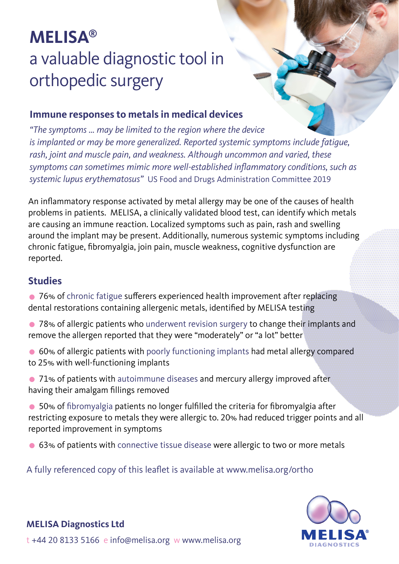# **MELISA®** a valuable diagnostic tool in orthopedic surgery

#### **Immune responses to metals in medical devices**

*"The symptoms … may be limited to the region where the device is implanted or may be more generalized. Reported systemic symptoms include fatigue, rash, joint and muscle pain, and weakness. Although uncommon and varied, these*  symptoms can sometimes mimic more well-established inflammatory conditions, such as *systemic lupus erythematosus"* US Food and Drugs Administration Committee 2019

An inflammatory response activated by metal allergy may be one of the causes of health problems in patients. MELISA, a clinically validated blood test, can identify which metals are causing an immune reaction. Localized symptoms such as pain, rash and swelling around the implant may be present. Additionally, numerous systemic symptoms including chronic fatigue, fibromyalgia, join pain, muscle weakness, cognitive dysfunction are reported.

#### **Studies**

• 76% of chronic fatigue sufferers experienced health improvement after replacing dental restorations containing allergenic metals, identified by MELISA testing

- 78% of allergic patients who underwent revision surgery to change their implants and remove the allergen reported that they were "moderately" or "a lot" better
- 60% of allergic patients with poorly functioning implants had metal allergy compared to 25% with well-functioning implants
- 71% of patients with autoimmune diseases and mercury allergy improved after having their amalgam fillings removed
- 50% of fibromyalgia patients no longer fulfilled the criteria for fibromyalgia after restricting exposure to metals they were allergic to. 20% had reduced trigger points and all reported improvement in symptoms
- 63% of patients with connective tissue disease were allergic to two or more metals

#### A fully referenced copy of this leaflet is available at www.melisa.org/ortho



#### **MELISA Diagnostics Ltd**

t +44 20 8133 5166 e info@melisa.org w www.melisa.org